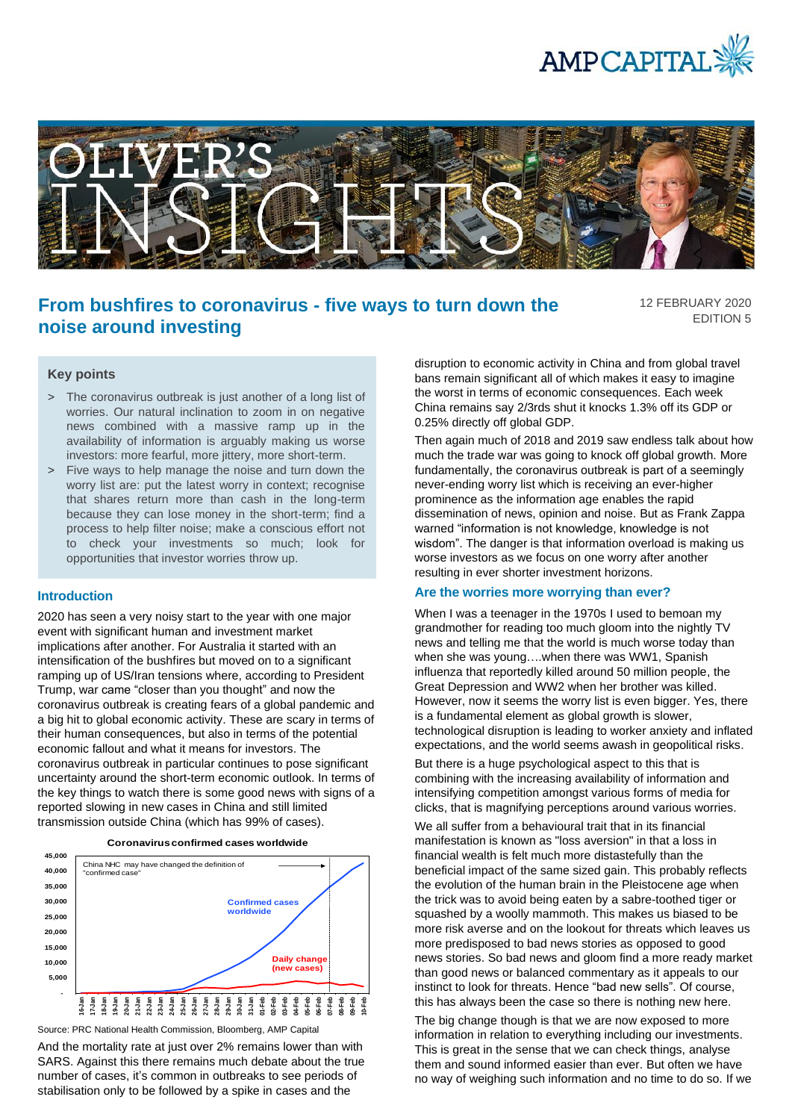



# **From bushfires to coronavirus - five ways to turn down the noise around investing**

12 FEBRUARY 2020 EDITION 5

## **Key points**

- > The coronavirus outbreak is just another of a long list of worries. Our natural inclination to zoom in on negative news combined with a massive ramp up in the availability of information is arguably making us worse investors: more fearful, more jittery, more short-term.
- > Five ways to help manage the noise and turn down the worry list are: put the latest worry in context; recognise that shares return more than cash in the long-term because they can lose money in the short-term; find a process to help filter noise; make a conscious effort not to check your investments so much; look for opportunities that investor worries throw up.

### **Introduction**

2020 has seen a very noisy start to the year with one major event with significant human and investment market implications after another. For Australia it started with an intensification of the bushfires but moved on to a significant ramping up of US/Iran tensions where, according to President Trump, war came "closer than you thought" and now the coronavirus outbreak is creating fears of a global pandemic and a big hit to global economic activity. These are scary in terms of their human consequences, but also in terms of the potential economic fallout and what it means for investors. The coronavirus outbreak in particular continues to pose significant uncertainty around the short-term economic outlook. In terms of the key things to watch there is some good news with signs of a reported slowing in new cases in China and still limited transmission outside China (which has 99% of cases).





Source: PRC National Health Commission, Bloomberg, AMP Capital

And the mortality rate at just over 2% remains lower than with SARS. Against this there remains much debate about the true number of cases, it's common in outbreaks to see periods of stabilisation only to be followed by a spike in cases and the

disruption to economic activity in China and from global travel bans remain significant all of which makes it easy to imagine the worst in terms of economic consequences. Each week China remains say 2/3rds shut it knocks 1.3% off its GDP or 0.25% directly off global GDP.

Then again much of 2018 and 2019 saw endless talk about how much the trade war was going to knock off global growth. More fundamentally, the coronavirus outbreak is part of a seemingly never-ending worry list which is receiving an ever-higher prominence as the information age enables the rapid dissemination of news, opinion and noise. But as Frank Zappa warned "information is not knowledge, knowledge is not wisdom". The danger is that information overload is making us worse investors as we focus on one worry after another resulting in ever shorter investment horizons.

#### **Are the worries more worrying than ever?**

When I was a teenager in the 1970s I used to bemoan my grandmother for reading too much gloom into the nightly TV news and telling me that the world is much worse today than when she was young….when there was WW1, Spanish influenza that reportedly killed around 50 million people, the Great Depression and WW2 when her brother was killed. However, now it seems the worry list is even bigger. Yes, there is a fundamental element as global growth is slower, technological disruption is leading to worker anxiety and inflated expectations, and the world seems awash in geopolitical risks.

But there is a huge psychological aspect to this that is combining with the increasing availability of information and intensifying competition amongst various forms of media for clicks, that is magnifying perceptions around various worries.

We all suffer from a behavioural trait that in its financial manifestation is known as "loss aversion" in that a loss in financial wealth is felt much more distastefully than the beneficial impact of the same sized gain. This probably reflects the evolution of the human brain in the Pleistocene age when the trick was to avoid being eaten by a sabre-toothed tiger or squashed by a woolly mammoth. This makes us biased to be more risk averse and on the lookout for threats which leaves us more predisposed to bad news stories as opposed to good news stories. So bad news and gloom find a more ready market than good news or balanced commentary as it appeals to our instinct to look for threats. Hence "bad new sells". Of course, this has always been the case so there is nothing new here.

The big change though is that we are now exposed to more information in relation to everything including our investments. This is great in the sense that we can check things, analyse them and sound informed easier than ever. But often we have no way of weighing such information and no time to do so. If we